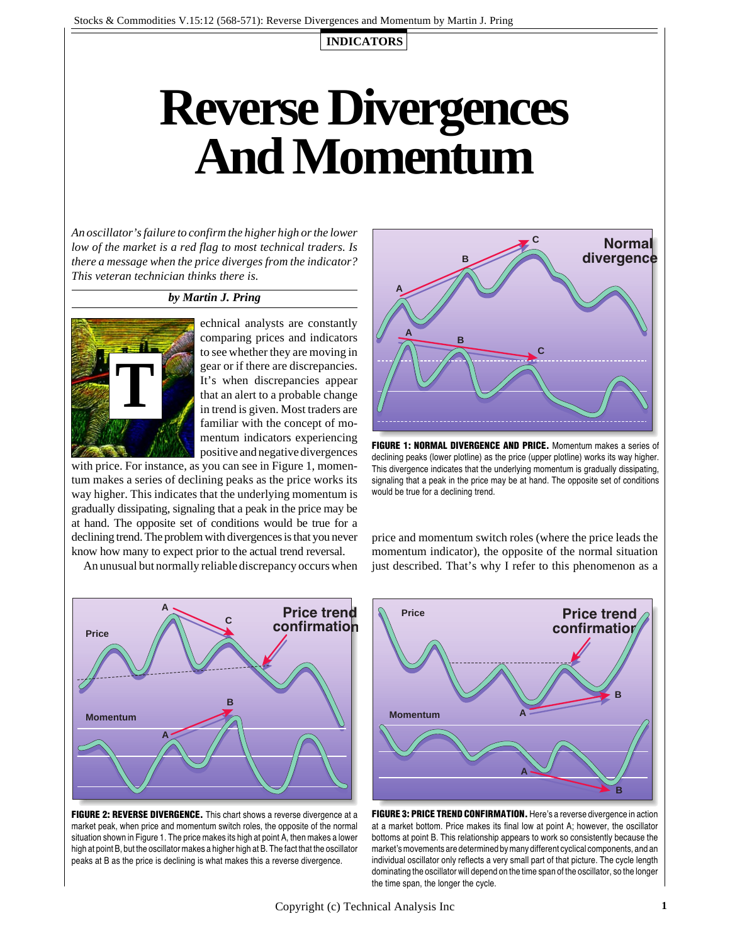**INDICATORS**

# **Reverse Divergences And Momentum**

*An oscillator's failure to confirm the higher high or the lower low of the market is a red flag to most technical traders. Is there a message when the price diverges from the indicator? This veteran technician thinks there is.*

### *by Martin J. Pring*



echnical analysts are constantly comparing prices and indicators to see whether they are moving in gear or if there are discrepancies. It's when discrepancies appear that an alert to a probable change in trend is given. Most traders are familiar with the concept of momentum indicators experiencing positive and negative divergences

with price. For instance, as you can see in Figure 1, momentum makes a series of declining peaks as the price works its way higher. This indicates that the underlying momentum is gradually dissipating, signaling that a peak in the price may be at hand. The opposite set of conditions would be true for a declining trend. The problem with divergences is that you never know how many to expect prior to the actual trend reversal.

An unusual but normally reliable discrepancy occurs when







**FIGURE 1: NORMAL DIVERGENCE AND PRICE.** *Momentum makes a series of declining peaks (lower plotline) as the price (upper plotline) works its way higher. This divergence indicates that the underlying momentum is gradually dissipating, signaling that a peak in the price may be at hand. The opposite set of conditions would be true for a declining trend.*

price and momentum switch roles (where the price leads the momentum indicator), the opposite of the normal situation just described. That's why I refer to this phenomenon as a



**FIGURE 3: PRICE TREND CONFIRMATION.** *Here's a reverse divergence in action at a market bottom. Price makes its final low at point A; however, the oscillator bottoms at point B. This relationship appears to work so consistently because the market's movements are determined by many different cyclical components, and an individual oscillator only reflects a very small part of that picture. The cycle length dominating the oscillator will depend on the time span of the oscillator, so the longer the time span, the longer the cycle.*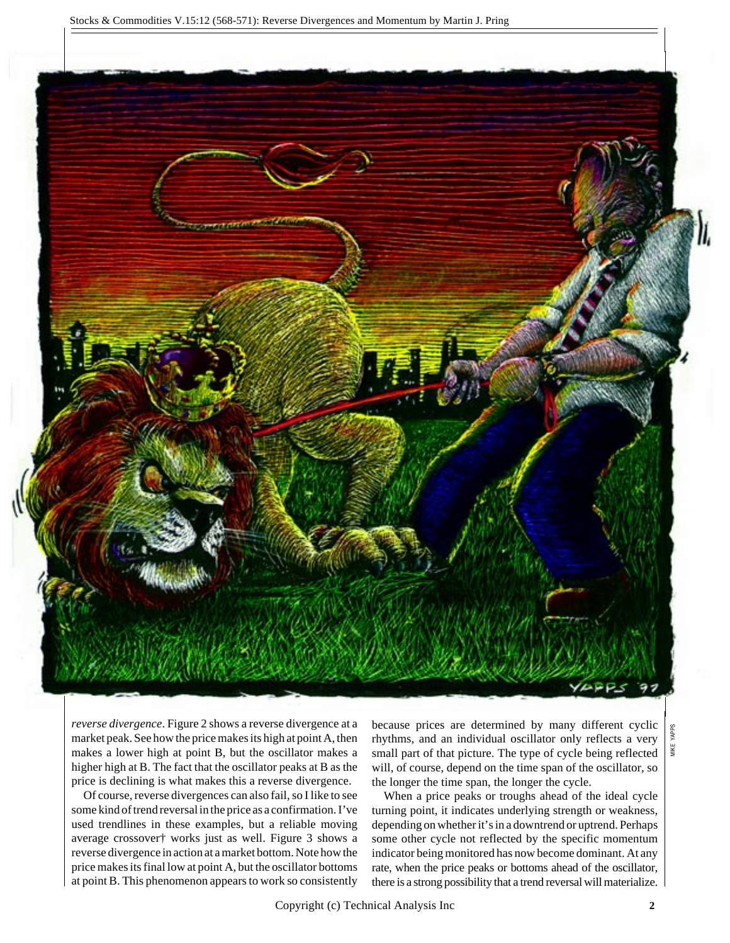

*reverse divergence*. Figure 2 shows a reverse divergence at a market peak. See how the price makes its high at point A, then makes a lower high at point B, but the oscillator makes a higher high at B. The fact that the oscillator peaks at B as the price is declining is what makes this a reverse divergence.

Of course, reverse divergences can also fail, so I like to see some kind of trend reversal in the price as a confirmation. I've used trendlines in these examples, but a reliable moving average crossover† works just as well. Figure 3 shows a reverse divergence in action at a market bottom. Note how the price makes its final low at point A, but the oscillator bottoms at point B. This phenomenon appears to work so consistently

because prices are determined by many different cyclic rhythms, and an individual oscillator only reflects a very small part of that picture. The type of cycle being reflected will, of course, depend on the time span of the oscillator, so the longer the time span, the longer the cycle.

When a price peaks or troughs ahead of the ideal cycle turning point, it indicates underlying strength or weakness, depending on whether it's in a downtrend or uptrend. Perhaps some other cycle not reflected by the specific momentum indicator being monitored has now become dominant. At any rate, when the price peaks or bottoms ahead of the oscillator, there is a strong possibility that a trend reversal will materialize.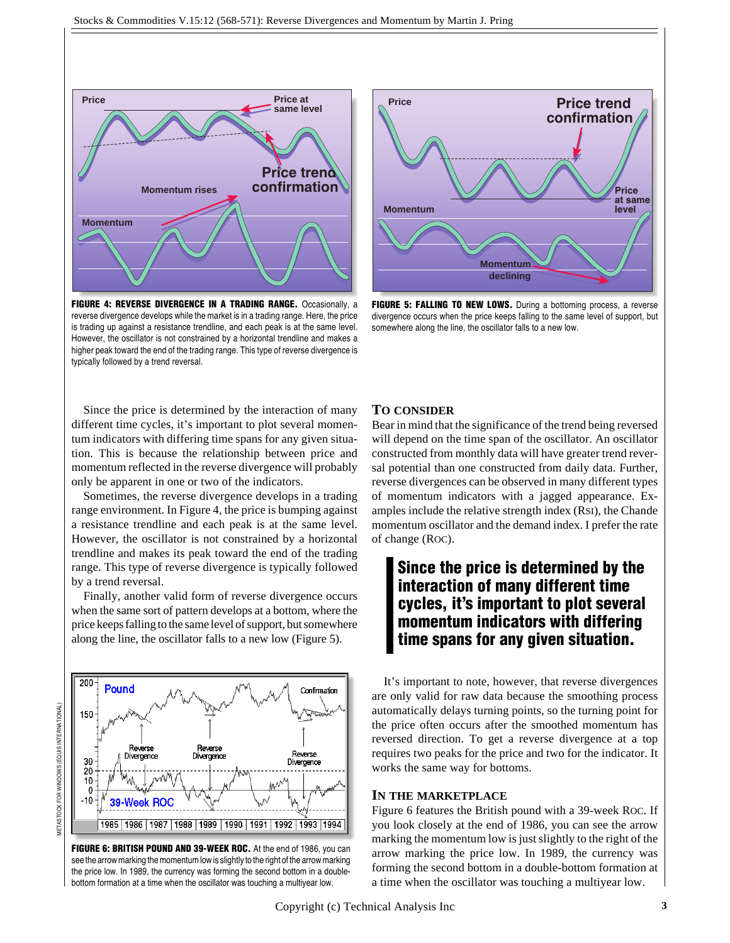

**FIGURE 4: REVERSE DIVERGENCE IN A TRADING RANGE.** *Occasionally, a reverse divergence develops while the market is in a trading range. Here, the price is trading up against a resistance trendline, and each peak is at the same level. However, the oscillator is not constrained by a horizontal trendline and makes a higher peak toward the end of the trading range. This type of reverse divergence is typically followed by a trend reversal.*



**FIGURE 5: FALLING TO NEW LOWS.** *During a bottoming process, a reverse divergence occurs when the price keeps falling to the same level of support, but somewhere along the line, the oscillator falls to a new low.*

Since the price is determined by the interaction of many different time cycles, it's important to plot several momentum indicators with differing time spans for any given situation. This is because the relationship between price and momentum reflected in the reverse divergence will probably only be apparent in one or two of the indicators.

Sometimes, the reverse divergence develops in a trading range environment. In Figure 4, the price is bumping against a resistance trendline and each peak is at the same level. However, the oscillator is not constrained by a horizontal trendline and makes its peak toward the end of the trading range. This type of reverse divergence is typically followed by a trend reversal.

Finally, another valid form of reverse divergence occurs when the same sort of pattern develops at a bottom, where the price keeps falling to the same level of support, but somewhere along the line, the oscillator falls to a new low (Figure 5).



**FIGURE 6: BRITISH POUND AND 39-WEEK ROC.** *At the end of 1986, you can see the arrow marking the momentum low is slightly to the right of the arrow marking the price low. In 1989, the currency was forming the second bottom in a doublebottom formation at a time when the oscillator was touching a multiyear low.*

## **TO CONSIDER**

Bear in mind that the significance of the trend being reversed will depend on the time span of the oscillator. An oscillator constructed from monthly data will have greater trend reversal potential than one constructed from daily data. Further, reverse divergences can be observed in many different types of momentum indicators with a jagged appearance. Examples include the relative strength index (RSI), the Chande momentum oscillator and the demand index. I prefer the rate of change (ROC).

## **Since the price is determined by the interaction of many different time cycles, it's important to plot several momentum indicators with differing time spans for any given situation.**

It's important to note, however, that reverse divergences are only valid for raw data because the smoothing process automatically delays turning points, so the turning point for the price often occurs after the smoothed momentum has reversed direction. To get a reverse divergence at a top requires two peaks for the price and two for the indicator. It works the same way for bottoms.

## **IN THE MARKETPLACE**

Figure 6 features the British pound with a 39-week ROC. If you look closely at the end of 1986, you can see the arrow marking the momentum low is just slightly to the right of the arrow marking the price low. In 1989, the currency was forming the second bottom in a double-bottom formation at a time when the oscillator was touching a multiyear low.